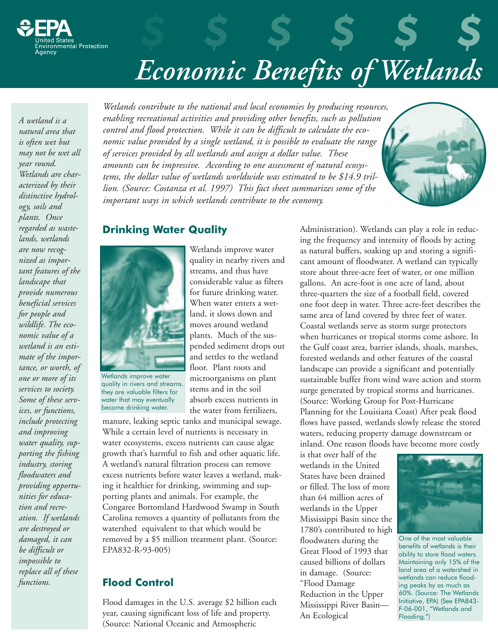

## *Economic Benefits of Wetlands*

*\$ \$ \$ \$ \$ \$*

*A wetland is a natural area that is often wet but may not be wet all year round. Wetlands are characterized by their distinctive hydrology, soils and plants. Once regarded as wastelands, wetlands are now recognized as important features of the landscape that provide numerous beneficial services for people and wildlife. The economic value of a wetland is an estimate of the importance, or worth, of one or more of its services to society. Some of these services, or functions, include protecting and improving water quality, supporting the fishing industry, storing floodwaters and providing opportunities for education and recreation. If wetlands are destroyed or damaged, it can be difficult or impossible to replace all of these functions.*

*Wetlands contribute to the national and local economies by producing resources, enabling recreational activities and providing other benefits, such as pollution control and flood protection. While it can be difficult to calculate the economic value provided by a single wetland, it is possible to evaluate the range of services provided by all wetlands and assign a dollar value. These amounts can be impressive. According to one assessment of natural ecosystems, the dollar value of wetlands worldwide was estimated to be \$14.9 trillion. (Source: Costanza et al. 1997) This fact sheet summarizes some of the important ways in which wetlands contribute to the economy.*



### **Drinking Water Quality**



Wetlands improve water quality in rivers and streams. they are valuable filters for water that may eventually become drinking water.

Wetlands improve water quality in nearby rivers and streams, and thus have considerable value as filters for future drinking water. When water enters a wetland, it slows down and moves around wetland plants. Much of the suspended sediment drops out and settles to the wetland floor. Plant roots and microorganisms on plant stems and in the soil absorb excess nutrients in the water from fertilizers,

manure, leaking septic tanks and municipal sewage. While a certain level of nutrients is necessary in water ecosystems, excess nutrients can cause algae growth that's harmful to fish and other aquatic life. A wetland's natural filtration process can remove excess nutrients before water leaves a wetland, making it healthier for drinking, swimming and supporting plants and animals. For example, the Congaree Bottomland Hardwood Swamp in South Carolina removes a quantity of pollutants from the watershed equivalent to that which would be removed by a \$5 million treatment plant. (Source: EPA832-R-93-005)

## **Flood Control**

Flood damages in the U.S. average \$2 billion each year, causing significant loss of life and property. (Source: National Oceanic and Atmospheric

Administration). Wetlands can play a role in reducing the frequency and intensity of floods by acting as natural buffers, soaking up and storing a significant amount of floodwater. A wetland can typically store about three-acre feet of water, or one million gallons. An acre-foot is one acre of land, about three-quarters the size of a football field, covered one foot deep in water. Three acre-feet describes the same area of land covered by three feet of water. Coastal wetlands serve as storm surge protectors when hurricanes or tropical storms come ashore. In the Gulf coast area, barrier islands, shoals, marshes, forested wetlands and other features of the coastal landscape can provide a significant and potentially sustainable buffer from wind wave action and storm surge generated by tropical storms and hurricanes. (Source: Working Group for Post-Hurricane Planning for the Louisiana Coast) After peak flood flows have passed, wetlands slowly release the stored waters, reducing property damage downstream or inland. One reason floods have become more costly

is that over half of the wetlands in the United States have been drained or filled. The loss of more than 64 million acres of wetlands in the Upper Mississippi Basin since the 1780's contributed to high floodwaters during the Great Flood of 1993 that caused billions of dollars in damage. (Source: "Flood Damage Reduction in the Upper Mississippi River Basin— An Ecological



One of the most valuable benefits of wetlands is their ability to store flood waters. Maintaining only 15% of the land area of a watershed in wetlands can reduce flooding peaks by as much as 60%. (Source: The Wetlands Initiative, EPA) (See EPA843- F-06-001, "Wetlands and Flooding.")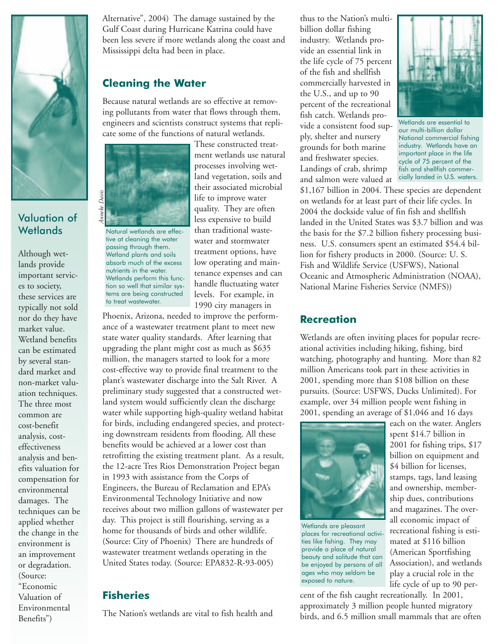

## Valuation of **Wetlands**

Although wetlands provide important services to society, these services are typically not sold nor do they have market value. Wetland benefits can be estimated by several standard market and non-market valuation techniques. The three most common are cost-benefit analysis, costeffectiveness analysis and benefits valuation for compensation for environmental damages. The techniques can be applied whether the change in the environment is an improvement or degradation. (Source: "Economic Valuation of Environmental Benefits")

Alternative", 2004) The damage sustained by the Gulf Coast during Hurricane Katrina could have been less severe if more wetlands along the coast and Mississippi delta had been in place.

## **Cleaning the Water**

Because natural wetlands are so effective at removing pollutants from water that flows through them, engineers and scientists construct systems that replicate some of the functions of natural wetlands.



Natural wetlands are effective at cleaning the water passing through them. Wetland plants and soils absorb much of the excess nutrients in the water. Wetlands perform this function so well that similar systems are being constructed to treat wastewater.

These constructed treatment wetlands use natural processes involving wetland vegetation, soils and their associated microbial life to improve water quality. They are often less expensive to build than traditional wastewater and stormwater treatment options, have low operating and maintenance expenses and can handle fluctuating water levels. For example, in 1990 city managers in

Phoenix, Arizona, needed to improve the performance of a wastewater treatment plant to meet new state water quality standards. After learning that upgrading the plant might cost as much as \$635 million, the managers started to look for a more cost-effective way to provide final treatment to the plant's wastewater discharge into the Salt River. A preliminary study suggested that a constructed wetland system would sufficiently clean the discharge water while supporting high-quality wetland habitat for birds, including endangered species, and protecting downstream residents from flooding. All these benefits would be achieved at a lower cost than retrofitting the existing treatment plant. As a result, the 12-acre Tres Rios Demonstration Project began in 1993 with assistance from the Corps of Engineers, the Bureau of Reclamation and EPA's Environmental Technology Initiative and now receives about two million gallons of wastewater per day. This project is still flourishing, serving as a home for thousands of birds and other wildlife. (Source: City of Phoenix) There are hundreds of wastewater treatment wetlands operating in the United States today. (Source: EPA832-R-93-005)

## **Fisheries**

The Nation's wetlands are vital to fish health and

thus to the Nation's multibillion dollar fishing industry. Wetlands provide an essential link in the life cycle of 75 percent of the fish and shellfish commercially harvested in the U.S., and up to 90 percent of the recreational fish catch. Wetlands provide a consistent food supply, shelter and nursery grounds for both marine and freshwater species. Landings of crab, shrimp and salmon were valued at



Wetlands are essential to our multi-billion dollar National commercial fishing industry. Wetlands have an important place in the life cycle of 75 percent of the fish and shellfish commercially landed in U.S. waters.

\$1,167 billion in 2004. These species are dependent on wetlands for at least part of their life cycles. In 2004 the dockside value of fin fish and shellfish landed in the United States was \$3.7 billion and was the basis for the \$7.2 billion fishery processing business. U.S. consumers spent an estimated \$54.4 billion for fishery products in 2000. (Source: U. S. Fish and Wildlife Service (USFWS), National Oceanic and Atmospheric Administration (NOAA), National Marine Fisheries Service (NMFS))

#### **Recreation**

Wetlands are often inviting places for popular recreational activities including hiking, fishing, bird watching, photography and hunting. More than 82 million Americans took part in these activities in 2001, spending more than \$108 billion on these pursuits. (Source: USFWS, Ducks Unlimited). For example, over 34 million people went fishing in 2001, spending an average of \$1,046 and 16 days



Wetlands are pleasant places for recreational activities like fishing. They may provide a place of natural beauty and solitude that can be enjoyed by persons of all ages who may seldom be exposed to nature.

each on the water. Anglers spent \$14.7 billion in 2001 for fishing trips, \$17 billion on equipment and \$4 billion for licenses, stamps, tags, land leasing and ownership, membership dues, contributions and magazines. The overall economic impact of recreational fishing is estimated at \$116 billion (American Sportfishing Association), and wetlands play a crucial role in the life cycle of up to 90 per-

cent of the fish caught recreationally. In 2001, approximately 3 million people hunted migratory birds, and 6.5 million small mammals that are often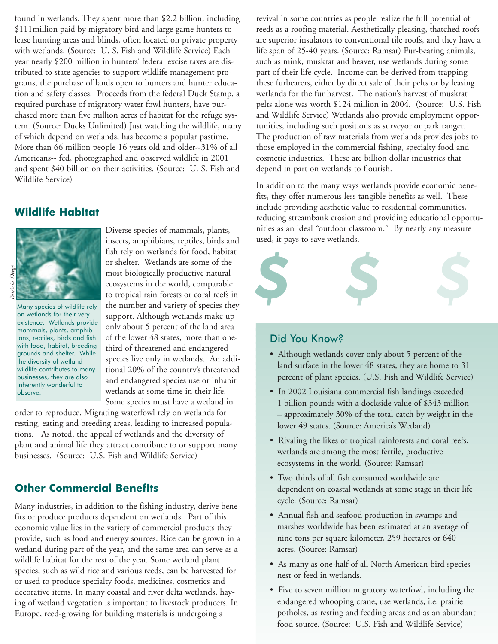found in wetlands. They spent more than \$2.2 billion, including \$111million paid by migratory bird and large game hunters to lease hunting areas and blinds, often located on private property with wetlands. (Source: U. S. Fish and Wildlife Service) Each year nearly \$200 million in hunters' federal excise taxes are distributed to state agencies to support wildlife management programs, the purchase of lands open to hunters and hunter education and safety classes. Proceeds from the federal Duck Stamp, a required purchase of migratory water fowl hunters, have purchased more than five million acres of habitat for the refuge system. (Source: Ducks Unlimited) Just watching the wildlife, many of which depend on wetlands, has become a popular pastime. More than 66 million people 16 years old and older--31% of all Americans-- fed, photographed and observed wildlife in 2001 and spent \$40 billion on their activities. (Source: U. S. Fish and Wildlife Service)

#### **Wildlife Habitat**



Many species of wildlife rely on wetlands for their very existence. Wetlands provide mammals, plants, amphibians, reptiles, birds and fish with food, habitat, breeding grounds and shelter. While the diversity of wetland wildlife contributes to many businesses, they are also inherently wonderful to observe.

Diverse species of mammals, plants, insects, amphibians, reptiles, birds and fish rely on wetlands for food, habitat or shelter. Wetlands are some of the most biologically productive natural ecosystems in the world, comparable to tropical rain forests or coral reefs in the number and variety of species they support. Although wetlands make up only about 5 percent of the land area of the lower 48 states, more than onethird of threatened and endangered species live only in wetlands. An additional 20% of the country's threatened and endangered species use or inhabit wetlands at some time in their life. Some species must have a wetland in

order to reproduce. Migrating waterfowl rely on wetlands for resting, eating and breeding areas, leading to increased populations. As noted, the appeal of wetlands and the diversity of plant and animal life they attract contribute to or support many businesses. (Source: U.S. Fish and Wildlife Service)

## **Other Commercial Benefits**

Many industries, in addition to the fishing industry, derive benefits or produce products dependent on wetlands. Part of this economic value lies in the variety of commercial products they provide, such as food and energy sources. Rice can be grown in a wetland during part of the year, and the same area can serve as a wildlife habitat for the rest of the year. Some wetland plant species, such as wild rice and various reeds, can be harvested for or used to produce specialty foods, medicines, cosmetics and decorative items. In many coastal and river delta wetlands, haying of wetland vegetation is important to livestock producers. In Europe, reed-growing for building materials is undergoing a

revival in some countries as people realize the full potential of reeds as a roofing material. Aesthetically pleasing, thatched roofs are superior insulators to conventional tile roofs, and they have a life span of 25-40 years. (Source: Ramsar) Fur-bearing animals, such as mink, muskrat and beaver, use wetlands during some part of their life cycle. Income can be derived from trapping these furbearers, either by direct sale of their pelts or by leasing wetlands for the fur harvest. The nation's harvest of muskrat pelts alone was worth \$124 million in 2004. (Source: U.S. Fish and Wildlife Service) Wetlands also provide employment opportunities, including such positions as surveyor or park ranger. The production of raw materials from wetlands provides jobs to those employed in the commercial fishing, specialty food and cosmetic industries. These are billion dollar industries that depend in part on wetlands to flourish.

In addition to the many ways wetlands provide economic benefits, they offer numerous less tangible benefits as well. These include providing aesthetic value to residential communities, reducing streambank erosion and providing educational opportunities as an ideal "outdoor classroom." By nearly any measure used, it pays to save wetlands.



#### Did You Know?

- Although wetlands cover only about 5 percent of the land surface in the lower 48 states, they are home to 31 percent of plant species. (U.S. Fish and Wildlife Service)
- In 2002 Louisiana commercial fish landings exceeded 1 billion pounds with a dockside value of \$343 million – approximately 30% of the total catch by weight in the lower 49 states. (Source: America's Wetland)
- Rivaling the likes of tropical rainforests and coral reefs, wetlands are among the most fertile, productive ecosystems in the world. (Source: Ramsar)
- Two thirds of all fish consumed worldwide are dependent on coastal wetlands at some stage in their life cycle. (Source: Ramsar)
- Annual fish and seafood production in swamps and marshes worldwide has been estimated at an average of nine tons per square kilometer, 259 hectares or 640 acres. (Source: Ramsar)
- As many as one-half of all North American bird species nest or feed in wetlands.
- Five to seven million migratory waterfowl, including the endangered whooping crane, use wetlands, i.e. prairie potholes, as resting and feeding areas and as an abundant food source. (Source: U.S. Fish and Wildlife Service)